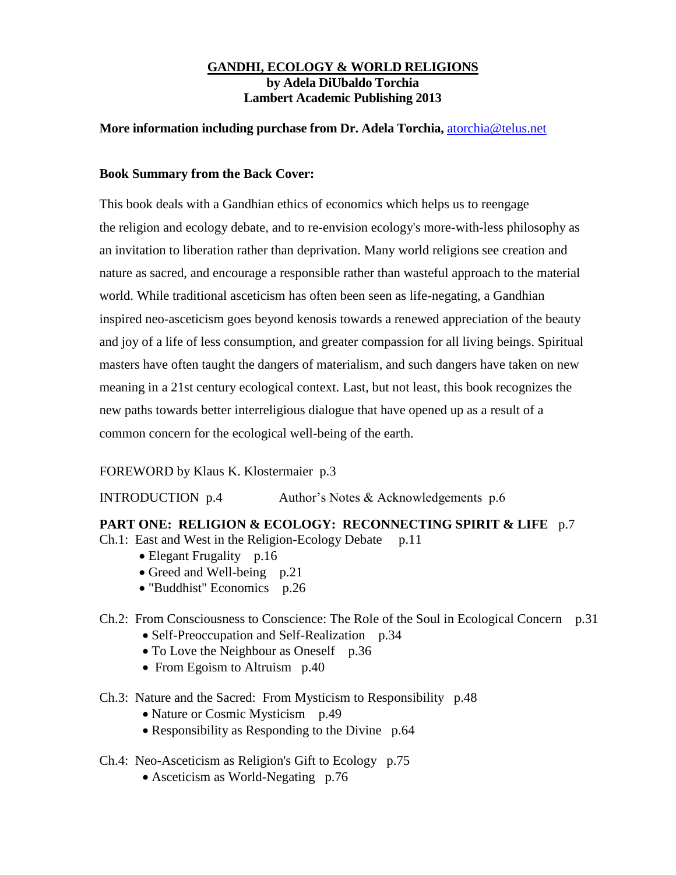### **GANDHI, ECOLOGY & WORLD RELIGIONS by Adela DiUbaldo Torchia Lambert Academic Publishing 2013**

### **More information including purchase from Dr. Adela Torchia,** [atorchia@telus.net](mailto:atorchia@telus.net)

## **Book Summary from the Back Cover:**

This book deals with a Gandhian ethics of economics which helps us to reengage the religion and ecology debate, and to re-envision ecology's more-with-less philosophy as an invitation to liberation rather than deprivation. Many world religions see creation and nature as sacred, and encourage a responsible rather than wasteful approach to the material world. While traditional asceticism has often been seen as life-negating, a Gandhian inspired neo-asceticism goes beyond kenosis towards a renewed appreciation of the beauty and joy of a life of less consumption, and greater compassion for all living beings. Spiritual masters have often taught the dangers of materialism, and such dangers have taken on new meaning in a 21st century ecological context. Last, but not least, this book recognizes the new paths towards better interreligious dialogue that have opened up as a result of a common concern for the ecological well-being of the earth.

# FOREWORD by Klaus K. Klostermaier p.3

INTRODUCTION p.4 Author's Notes & Acknowledgements p.6

### **PART ONE: RELIGION & ECOLOGY: RECONNECTING SPIRIT & LIFE** p.7

- Ch.1: East and West in the Religion-Ecology Debate p.11
	- Elegant Frugality p.16
	- Greed and Well-being p.21
	- "Buddhist" Economics p.26

# Ch.2: From Consciousness to Conscience: The Role of the Soul in Ecological Concern p.31

- Self-Preoccupation and Self-Realization p.34
- To Love the Neighbour as Oneself p.36
- From Egoism to Altruism p.40
- Ch.3: Nature and the Sacred: From Mysticism to Responsibility p.48
	- Nature or Cosmic Mysticism p.49
	- Responsibility as Responding to the Divine p.64
- Ch.4: Neo-Asceticism as Religion's Gift to Ecology p.75
	- Asceticism as World-Negating p.76